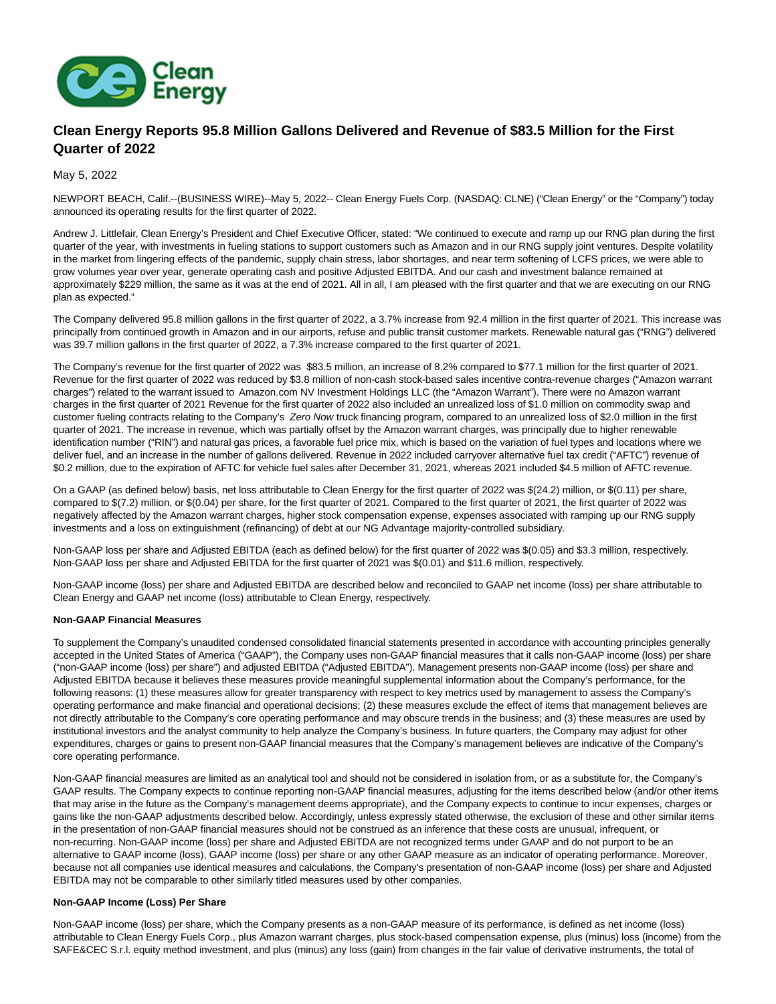

# **Clean Energy Reports 95.8 Million Gallons Delivered and Revenue of \$83.5 Million for the First Quarter of 2022**

May 5, 2022

NEWPORT BEACH, Calif.--(BUSINESS WIRE)--May 5, 2022-- Clean Energy Fuels Corp. (NASDAQ: CLNE) ("Clean Energy" or the "Company") today announced its operating results for the first quarter of 2022.

Andrew J. Littlefair, Clean Energy's President and Chief Executive Officer, stated: "We continued to execute and ramp up our RNG plan during the first quarter of the year, with investments in fueling stations to support customers such as Amazon and in our RNG supply joint ventures. Despite volatility in the market from lingering effects of the pandemic, supply chain stress, labor shortages, and near term softening of LCFS prices, we were able to grow volumes year over year, generate operating cash and positive Adjusted EBITDA. And our cash and investment balance remained at approximately \$229 million, the same as it was at the end of 2021. All in all, I am pleased with the first quarter and that we are executing on our RNG plan as expected."

The Company delivered 95.8 million gallons in the first quarter of 2022, a 3.7% increase from 92.4 million in the first quarter of 2021. This increase was principally from continued growth in Amazon and in our airports, refuse and public transit customer markets. Renewable natural gas ("RNG") delivered was 39.7 million gallons in the first quarter of 2022, a 7.3% increase compared to the first quarter of 2021.

The Company's revenue for the first quarter of 2022 was \$83.5 million, an increase of 8.2% compared to \$77.1 million for the first quarter of 2021. Revenue for the first quarter of 2022 was reduced by \$3.8 million of non-cash stock-based sales incentive contra-revenue charges ("Amazon warrant charges") related to the warrant issued to Amazon.com NV Investment Holdings LLC (the "Amazon Warrant"). There were no Amazon warrant charges in the first quarter of 2021 Revenue for the first quarter of 2022 also included an unrealized loss of \$1.0 million on commodity swap and customer fueling contracts relating to the Company's Zero Now truck financing program, compared to an unrealized loss of \$2.0 million in the first quarter of 2021. The increase in revenue, which was partially offset by the Amazon warrant charges, was principally due to higher renewable identification number ("RIN") and natural gas prices, a favorable fuel price mix, which is based on the variation of fuel types and locations where we deliver fuel, and an increase in the number of gallons delivered. Revenue in 2022 included carryover alternative fuel tax credit ("AFTC") revenue of \$0.2 million, due to the expiration of AFTC for vehicle fuel sales after December 31, 2021, whereas 2021 included \$4.5 million of AFTC revenue.

On a GAAP (as defined below) basis, net loss attributable to Clean Energy for the first quarter of 2022 was \$(24.2) million, or \$(0.11) per share, compared to \$(7.2) million, or \$(0.04) per share, for the first quarter of 2021. Compared to the first quarter of 2021, the first quarter of 2022 was negatively affected by the Amazon warrant charges, higher stock compensation expense, expenses associated with ramping up our RNG supply investments and a loss on extinguishment (refinancing) of debt at our NG Advantage majority-controlled subsidiary.

Non-GAAP loss per share and Adjusted EBITDA (each as defined below) for the first quarter of 2022 was \$(0.05) and \$3.3 million, respectively. Non-GAAP loss per share and Adjusted EBITDA for the first quarter of 2021 was \$(0.01) and \$11.6 million, respectively.

Non-GAAP income (loss) per share and Adjusted EBITDA are described below and reconciled to GAAP net income (loss) per share attributable to Clean Energy and GAAP net income (loss) attributable to Clean Energy, respectively.

## **Non-GAAP Financial Measures**

To supplement the Company's unaudited condensed consolidated financial statements presented in accordance with accounting principles generally accepted in the United States of America ("GAAP"), the Company uses non-GAAP financial measures that it calls non-GAAP income (loss) per share ("non-GAAP income (loss) per share") and adjusted EBITDA ("Adjusted EBITDA"). Management presents non-GAAP income (loss) per share and Adjusted EBITDA because it believes these measures provide meaningful supplemental information about the Company's performance, for the following reasons: (1) these measures allow for greater transparency with respect to key metrics used by management to assess the Company's operating performance and make financial and operational decisions; (2) these measures exclude the effect of items that management believes are not directly attributable to the Company's core operating performance and may obscure trends in the business; and (3) these measures are used by institutional investors and the analyst community to help analyze the Company's business. In future quarters, the Company may adjust for other expenditures, charges or gains to present non-GAAP financial measures that the Company's management believes are indicative of the Company's core operating performance.

Non-GAAP financial measures are limited as an analytical tool and should not be considered in isolation from, or as a substitute for, the Company's GAAP results. The Company expects to continue reporting non-GAAP financial measures, adjusting for the items described below (and/or other items that may arise in the future as the Company's management deems appropriate), and the Company expects to continue to incur expenses, charges or gains like the non-GAAP adjustments described below. Accordingly, unless expressly stated otherwise, the exclusion of these and other similar items in the presentation of non-GAAP financial measures should not be construed as an inference that these costs are unusual, infrequent, or non-recurring. Non-GAAP income (loss) per share and Adjusted EBITDA are not recognized terms under GAAP and do not purport to be an alternative to GAAP income (loss), GAAP income (loss) per share or any other GAAP measure as an indicator of operating performance. Moreover, because not all companies use identical measures and calculations, the Company's presentation of non-GAAP income (loss) per share and Adjusted EBITDA may not be comparable to other similarly titled measures used by other companies.

## **Non-GAAP Income (Loss) Per Share**

Non-GAAP income (loss) per share, which the Company presents as a non-GAAP measure of its performance, is defined as net income (loss) attributable to Clean Energy Fuels Corp., plus Amazon warrant charges, plus stock-based compensation expense, plus (minus) loss (income) from the SAFE&CEC S.r.l. equity method investment, and plus (minus) any loss (gain) from changes in the fair value of derivative instruments, the total of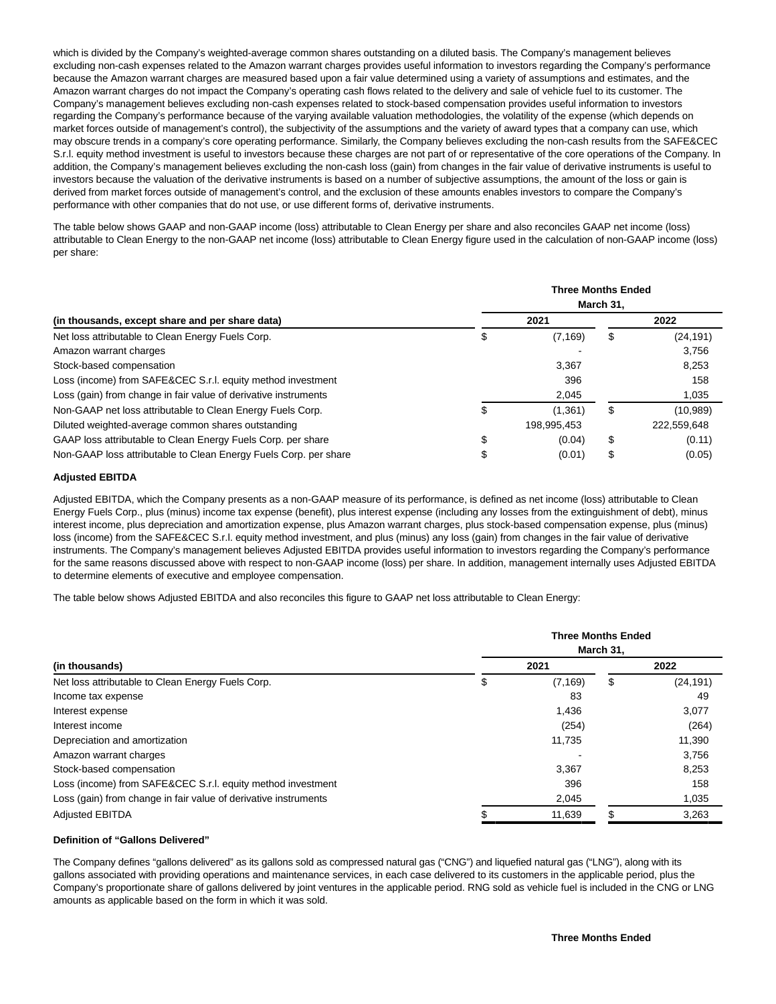which is divided by the Company's weighted-average common shares outstanding on a diluted basis. The Company's management believes excluding non-cash expenses related to the Amazon warrant charges provides useful information to investors regarding the Company's performance because the Amazon warrant charges are measured based upon a fair value determined using a variety of assumptions and estimates, and the Amazon warrant charges do not impact the Company's operating cash flows related to the delivery and sale of vehicle fuel to its customer. The Company's management believes excluding non-cash expenses related to stock-based compensation provides useful information to investors regarding the Company's performance because of the varying available valuation methodologies, the volatility of the expense (which depends on market forces outside of management's control), the subjectivity of the assumptions and the variety of award types that a company can use, which may obscure trends in a company's core operating performance. Similarly, the Company believes excluding the non-cash results from the SAFE&CEC S.r.l. equity method investment is useful to investors because these charges are not part of or representative of the core operations of the Company. In addition, the Company's management believes excluding the non-cash loss (gain) from changes in the fair value of derivative instruments is useful to investors because the valuation of the derivative instruments is based on a number of subjective assumptions, the amount of the loss or gain is derived from market forces outside of management's control, and the exclusion of these amounts enables investors to compare the Company's performance with other companies that do not use, or use different forms of, derivative instruments.

The table below shows GAAP and non-GAAP income (loss) attributable to Clean Energy per share and also reconciles GAAP net income (loss) attributable to Clean Energy to the non-GAAP net income (loss) attributable to Clean Energy figure used in the calculation of non-GAAP income (loss) per share:

|                                                                  | <b>Three Months Ended</b><br>March 31, |             |    |             |  |
|------------------------------------------------------------------|----------------------------------------|-------------|----|-------------|--|
| (in thousands, except share and per share data)                  |                                        | 2021        |    | 2022        |  |
| Net loss attributable to Clean Energy Fuels Corp.                | S                                      | (7, 169)    | \$ | (24,191)    |  |
| Amazon warrant charges                                           |                                        |             |    | 3,756       |  |
| Stock-based compensation                                         |                                        | 3.367       |    | 8,253       |  |
| Loss (income) from SAFE&CEC S.r.l. equity method investment      |                                        | 396         |    | 158         |  |
| Loss (gain) from change in fair value of derivative instruments  |                                        | 2,045       |    | 1,035       |  |
| Non-GAAP net loss attributable to Clean Energy Fuels Corp.       | S                                      | (1.361)     | S  | (10,989)    |  |
| Diluted weighted-average common shares outstanding               |                                        | 198.995.453 |    | 222,559,648 |  |
| GAAP loss attributable to Clean Energy Fuels Corp. per share     | \$                                     | (0.04)      | \$ | (0.11)      |  |
| Non-GAAP loss attributable to Clean Energy Fuels Corp. per share | \$                                     | (0.01)      | \$ | (0.05)      |  |

## **Adjusted EBITDA**

Adjusted EBITDA, which the Company presents as a non-GAAP measure of its performance, is defined as net income (loss) attributable to Clean Energy Fuels Corp., plus (minus) income tax expense (benefit), plus interest expense (including any losses from the extinguishment of debt), minus interest income, plus depreciation and amortization expense, plus Amazon warrant charges, plus stock-based compensation expense, plus (minus) loss (income) from the SAFE&CEC S.r.l. equity method investment, and plus (minus) any loss (gain) from changes in the fair value of derivative instruments. The Company's management believes Adjusted EBITDA provides useful information to investors regarding the Company's performance for the same reasons discussed above with respect to non-GAAP income (loss) per share. In addition, management internally uses Adjusted EBITDA to determine elements of executive and employee compensation.

The table below shows Adjusted EBITDA and also reconciles this figure to GAAP net loss attributable to Clean Energy:

| (in thousands)<br>Net loss attributable to Clean Energy Fuels Corp. | <b>Three Months Ended</b><br>March 31. |     |           |  |  |
|---------------------------------------------------------------------|----------------------------------------|-----|-----------|--|--|
|                                                                     | 2021                                   |     | 2022      |  |  |
|                                                                     | \$<br>(7, 169)                         | \$  | (24, 191) |  |  |
| Income tax expense                                                  | 83                                     |     | 49        |  |  |
| Interest expense                                                    | 1,436                                  |     | 3,077     |  |  |
| Interest income                                                     | (254)                                  |     | (264)     |  |  |
| Depreciation and amortization                                       | 11,735                                 |     | 11,390    |  |  |
| Amazon warrant charges                                              |                                        |     | 3,756     |  |  |
| Stock-based compensation                                            | 3,367                                  |     | 8,253     |  |  |
| Loss (income) from SAFE&CEC S.r.l. equity method investment         | 396                                    |     | 158       |  |  |
| Loss (gain) from change in fair value of derivative instruments     | 2,045                                  |     | 1,035     |  |  |
| <b>Adjusted EBITDA</b>                                              | 11,639                                 | \$. | 3,263     |  |  |

## **Definition of "Gallons Delivered"**

The Company defines "gallons delivered" as its gallons sold as compressed natural gas ("CNG") and liquefied natural gas ("LNG"), along with its gallons associated with providing operations and maintenance services, in each case delivered to its customers in the applicable period, plus the Company's proportionate share of gallons delivered by joint ventures in the applicable period. RNG sold as vehicle fuel is included in the CNG or LNG amounts as applicable based on the form in which it was sold.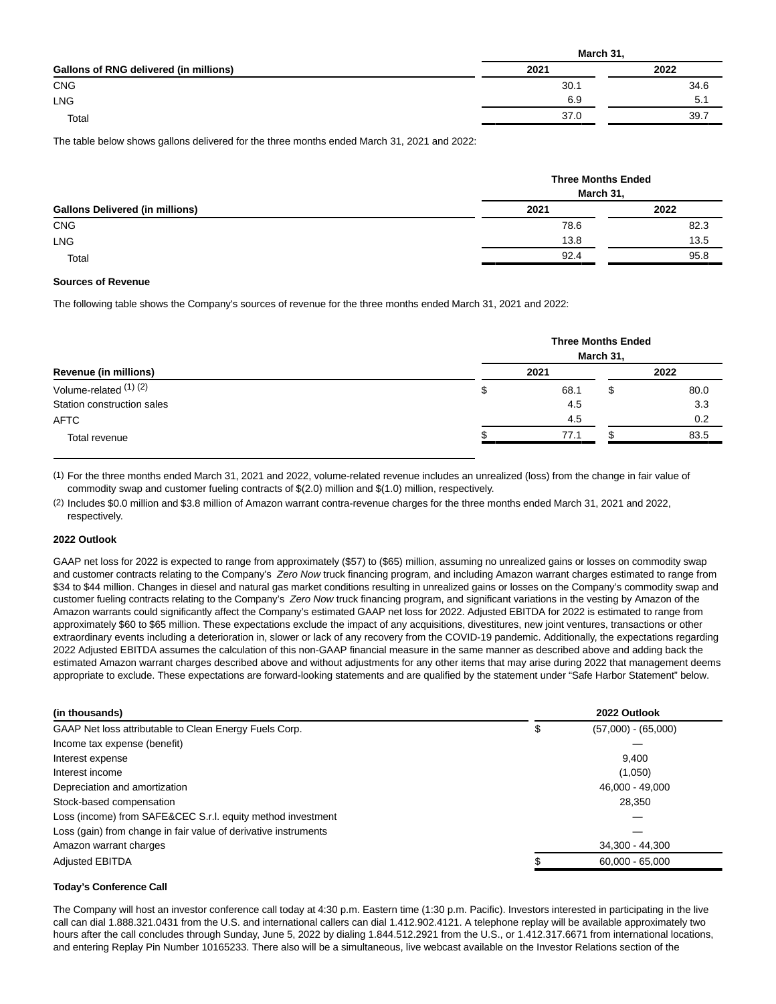|                                        | March 31, |      |
|----------------------------------------|-----------|------|
| Gallons of RNG delivered (in millions) | 2021      | 2022 |
| <b>CNG</b>                             | 30.1      | 34.6 |
| <b>LNG</b>                             | 6.9       | 5.1  |
| Total                                  | 37.0      | 39.7 |

The table below shows gallons delivered for the three months ended March 31, 2021 and 2022:

|                                        |      | <b>Three Months Ended</b><br>March 31, |  |  |  |
|----------------------------------------|------|----------------------------------------|--|--|--|
| <b>Gallons Delivered (in millions)</b> | 2021 | 2022                                   |  |  |  |
| <b>CNG</b>                             | 78.6 | 82.3                                   |  |  |  |
| <b>LNG</b>                             | 13.8 | 13.5                                   |  |  |  |
| Total                                  | 92.4 | 95.8                                   |  |  |  |

#### **Sources of Revenue**

The following table shows the Company's sources of revenue for the three months ended March 31, 2021 and 2022:

| Revenue (in millions)      | <b>Three Months Ended</b><br>March 31, |   |      |  |  |
|----------------------------|----------------------------------------|---|------|--|--|
|                            | 2021                                   |   | 2022 |  |  |
| Volume-related (1) (2)     | \$<br>68.1                             | S | 80.0 |  |  |
| Station construction sales | 4.5                                    |   | 3.3  |  |  |
| <b>AFTC</b>                | 4.5                                    |   | 0.2  |  |  |
| Total revenue              | 77.1                                   |   | 83.5 |  |  |

(1) For the three months ended March 31, 2021 and 2022, volume-related revenue includes an unrealized (loss) from the change in fair value of commodity swap and customer fueling contracts of \$(2.0) million and \$(1.0) million, respectively.

(2) Includes \$0.0 million and \$3.8 million of Amazon warrant contra-revenue charges for the three months ended March 31, 2021 and 2022, respectively.

#### **2022 Outlook**

GAAP net loss for 2022 is expected to range from approximately (\$57) to (\$65) million, assuming no unrealized gains or losses on commodity swap and customer contracts relating to the Company's Zero Now truck financing program, and including Amazon warrant charges estimated to range from \$34 to \$44 million. Changes in diesel and natural gas market conditions resulting in unrealized gains or losses on the Company's commodity swap and customer fueling contracts relating to the Company's Zero Now truck financing program, and significant variations in the vesting by Amazon of the Amazon warrants could significantly affect the Company's estimated GAAP net loss for 2022. Adjusted EBITDA for 2022 is estimated to range from approximately \$60 to \$65 million. These expectations exclude the impact of any acquisitions, divestitures, new joint ventures, transactions or other extraordinary events including a deterioration in, slower or lack of any recovery from the COVID-19 pandemic. Additionally, the expectations regarding 2022 Adjusted EBITDA assumes the calculation of this non-GAAP financial measure in the same manner as described above and adding back the estimated Amazon warrant charges described above and without adjustments for any other items that may arise during 2022 that management deems appropriate to exclude. These expectations are forward-looking statements and are qualified by the statement under "Safe Harbor Statement" below.

| (in thousands)                                                  | 2022 Outlook          |
|-----------------------------------------------------------------|-----------------------|
| GAAP Net loss attributable to Clean Energy Fuels Corp.<br>Φ     | $(57,000) - (65,000)$ |
| Income tax expense (benefit)                                    |                       |
| Interest expense                                                | 9.400                 |
| Interest income                                                 | (1,050)               |
| Depreciation and amortization                                   | 46,000 - 49,000       |
| Stock-based compensation                                        | 28,350                |
| Loss (income) from SAFE&CEC S.r.l. equity method investment     |                       |
| Loss (gain) from change in fair value of derivative instruments |                       |
| Amazon warrant charges                                          | 34.300 - 44.300       |
| <b>Adjusted EBITDA</b>                                          | $60,000 - 65,000$     |

#### **Today's Conference Call**

The Company will host an investor conference call today at 4:30 p.m. Eastern time (1:30 p.m. Pacific). Investors interested in participating in the live call can dial 1.888.321.0431 from the U.S. and international callers can dial 1.412.902.4121. A telephone replay will be available approximately two hours after the call concludes through Sunday, June 5, 2022 by dialing 1.844.512.2921 from the U.S., or 1.412.317.6671 from international locations, and entering Replay Pin Number 10165233. There also will be a simultaneous, live webcast available on the Investor Relations section of the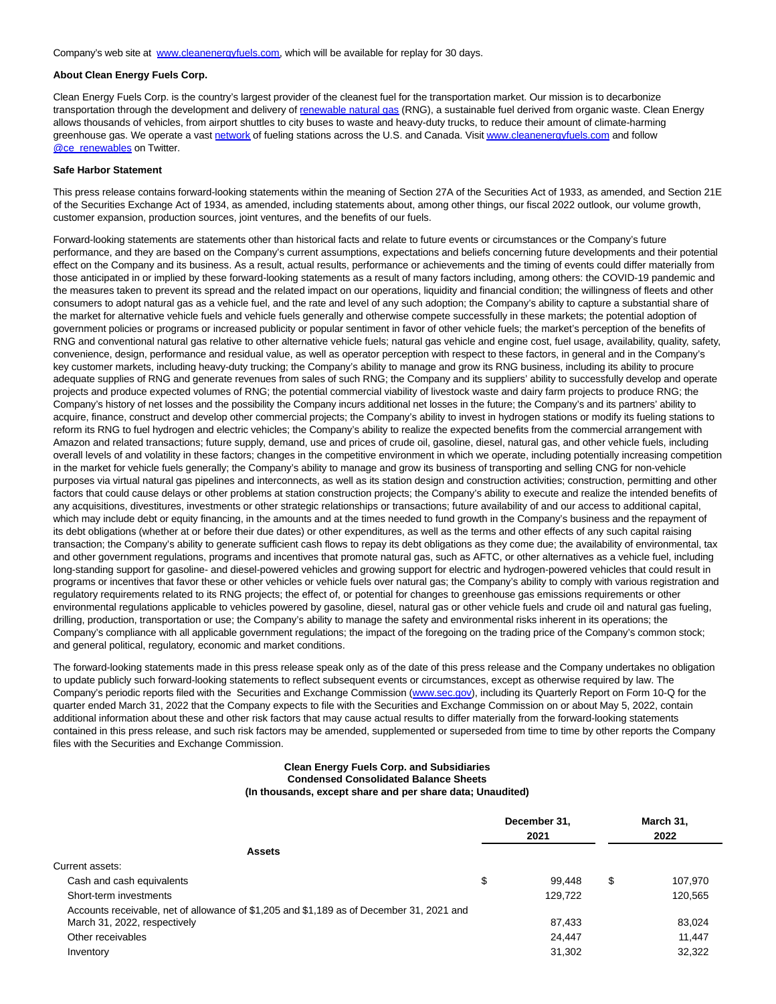Company's web site at [www.cleanenergyfuels.com,](https://cts.businesswire.com/ct/CT?id=smartlink&url=http%3A%2F%2Fwww.cleanenergyfuels.com&esheet=52708968&newsitemid=20220504006337&lan=en-US&anchor=www.cleanenergyfuels.com&index=1&md5=3cf8b36cbdbdb1fe9ea3db2415bb6bd5) which will be available for replay for 30 days.

## **About Clean Energy Fuels Corp.**

Clean Energy Fuels Corp. is the country's largest provider of the cleanest fuel for the transportation market. Our mission is to decarbonize transportation through the development and delivery of [renewable natural gas \(](https://cts.businesswire.com/ct/CT?id=smartlink&url=https%3A%2F%2Fwww.cleanenergyfuels.com%2F%23why-rng&esheet=52708968&newsitemid=20220504006337&lan=en-US&anchor=renewable+natural+gas&index=2&md5=65b651d766cf2e2822c2479d12d140fd)RNG), a sustainable fuel derived from organic waste. Clean Energy allows thousands of vehicles, from airport shuttles to city buses to waste and heavy-duty trucks, to reduce their amount of climate-harming greenhouse gas. We operate a vast [network o](https://cts.businesswire.com/ct/CT?id=smartlink&url=https%3A%2F%2Fwww.cnglngstations.com%2F&esheet=52708968&newsitemid=20220504006337&lan=en-US&anchor=network&index=3&md5=1f1b07dfa84d693a3c285e1ee0b518b3)f fueling stations across the U.S. and Canada. Visi[t www.cleanenergyfuels.com a](https://cts.businesswire.com/ct/CT?id=smartlink&url=https%3A%2F%2Fwww.cleanenergyfuels.com%2F&esheet=52708968&newsitemid=20220504006337&lan=en-US&anchor=www.cleanenergyfuels.com&index=4&md5=cf8aaea496805600e4636b9b9a613c6c)nd follow **[@ce\\_renewables o](https://cts.businesswire.com/ct/CT?id=smartlink&url=https%3A%2F%2Fmobile.twitter.com%2Fce_renewables&esheet=52708968&newsitemid=20220504006337&lan=en-US&anchor=%40ce_renewables&index=5&md5=a41eab9bf5de44a2f122b164e55a7f45)n Twitter.** 

#### **Safe Harbor Statement**

This press release contains forward-looking statements within the meaning of Section 27A of the Securities Act of 1933, as amended, and Section 21E of the Securities Exchange Act of 1934, as amended, including statements about, among other things, our fiscal 2022 outlook, our volume growth, customer expansion, production sources, joint ventures, and the benefits of our fuels.

Forward-looking statements are statements other than historical facts and relate to future events or circumstances or the Company's future performance, and they are based on the Company's current assumptions, expectations and beliefs concerning future developments and their potential effect on the Company and its business. As a result, actual results, performance or achievements and the timing of events could differ materially from those anticipated in or implied by these forward-looking statements as a result of many factors including, among others: the COVID-19 pandemic and the measures taken to prevent its spread and the related impact on our operations, liquidity and financial condition; the willingness of fleets and other consumers to adopt natural gas as a vehicle fuel, and the rate and level of any such adoption; the Company's ability to capture a substantial share of the market for alternative vehicle fuels and vehicle fuels generally and otherwise compete successfully in these markets; the potential adoption of government policies or programs or increased publicity or popular sentiment in favor of other vehicle fuels; the market's perception of the benefits of RNG and conventional natural gas relative to other alternative vehicle fuels; natural gas vehicle and engine cost, fuel usage, availability, quality, safety, convenience, design, performance and residual value, as well as operator perception with respect to these factors, in general and in the Company's key customer markets, including heavy-duty trucking; the Company's ability to manage and grow its RNG business, including its ability to procure adequate supplies of RNG and generate revenues from sales of such RNG; the Company and its suppliers' ability to successfully develop and operate projects and produce expected volumes of RNG; the potential commercial viability of livestock waste and dairy farm projects to produce RNG; the Company's history of net losses and the possibility the Company incurs additional net losses in the future; the Company's and its partners' ability to acquire, finance, construct and develop other commercial projects; the Company's ability to invest in hydrogen stations or modify its fueling stations to reform its RNG to fuel hydrogen and electric vehicles; the Company's ability to realize the expected benefits from the commercial arrangement with Amazon and related transactions; future supply, demand, use and prices of crude oil, gasoline, diesel, natural gas, and other vehicle fuels, including overall levels of and volatility in these factors; changes in the competitive environment in which we operate, including potentially increasing competition in the market for vehicle fuels generally; the Company's ability to manage and grow its business of transporting and selling CNG for non-vehicle purposes via virtual natural gas pipelines and interconnects, as well as its station design and construction activities; construction, permitting and other factors that could cause delays or other problems at station construction projects; the Company's ability to execute and realize the intended benefits of any acquisitions, divestitures, investments or other strategic relationships or transactions; future availability of and our access to additional capital, which may include debt or equity financing, in the amounts and at the times needed to fund growth in the Company's business and the repayment of its debt obligations (whether at or before their due dates) or other expenditures, as well as the terms and other effects of any such capital raising transaction; the Company's ability to generate sufficient cash flows to repay its debt obligations as they come due; the availability of environmental, tax and other government regulations, programs and incentives that promote natural gas, such as AFTC, or other alternatives as a vehicle fuel, including long-standing support for gasoline- and diesel-powered vehicles and growing support for electric and hydrogen-powered vehicles that could result in programs or incentives that favor these or other vehicles or vehicle fuels over natural gas; the Company's ability to comply with various registration and regulatory requirements related to its RNG projects; the effect of, or potential for changes to greenhouse gas emissions requirements or other environmental regulations applicable to vehicles powered by gasoline, diesel, natural gas or other vehicle fuels and crude oil and natural gas fueling, drilling, production, transportation or use; the Company's ability to manage the safety and environmental risks inherent in its operations; the Company's compliance with all applicable government regulations; the impact of the foregoing on the trading price of the Company's common stock; and general political, regulatory, economic and market conditions.

The forward-looking statements made in this press release speak only as of the date of this press release and the Company undertakes no obligation to update publicly such forward-looking statements to reflect subsequent events or circumstances, except as otherwise required by law. The Company's periodic reports filed with the Securities and Exchange Commission [\(www.sec.gov\),](https://cts.businesswire.com/ct/CT?id=smartlink&url=http%3A%2F%2Fwww.sec.gov&esheet=52708968&newsitemid=20220504006337&lan=en-US&anchor=www.sec.gov&index=6&md5=f50c3a83496370f8d73b2841f11d95d6) including its Quarterly Report on Form 10-Q for the quarter ended March 31, 2022 that the Company expects to file with the Securities and Exchange Commission on or about May 5, 2022, contain additional information about these and other risk factors that may cause actual results to differ materially from the forward-looking statements contained in this press release, and such risk factors may be amended, supplemented or superseded from time to time by other reports the Company files with the Securities and Exchange Commission.

## **Clean Energy Fuels Corp. and Subsidiaries Condensed Consolidated Balance Sheets (In thousands, except share and per share data; Unaudited)**

|                                                                                          | December 31,<br>2021 |         | March 31,<br>2022 |         |
|------------------------------------------------------------------------------------------|----------------------|---------|-------------------|---------|
|                                                                                          |                      |         |                   |         |
| <b>Assets</b>                                                                            |                      |         |                   |         |
| Current assets:                                                                          |                      |         |                   |         |
| Cash and cash equivalents                                                                | \$                   | 99.448  | \$                | 107,970 |
| Short-term investments                                                                   |                      | 129.722 |                   | 120,565 |
| Accounts receivable, net of allowance of \$1,205 and \$1,189 as of December 31, 2021 and |                      |         |                   |         |
| March 31, 2022, respectively                                                             |                      | 87,433  |                   | 83,024  |
| Other receivables                                                                        |                      | 24,447  |                   | 11,447  |
| Inventory                                                                                |                      | 31,302  |                   | 32,322  |
|                                                                                          |                      |         |                   |         |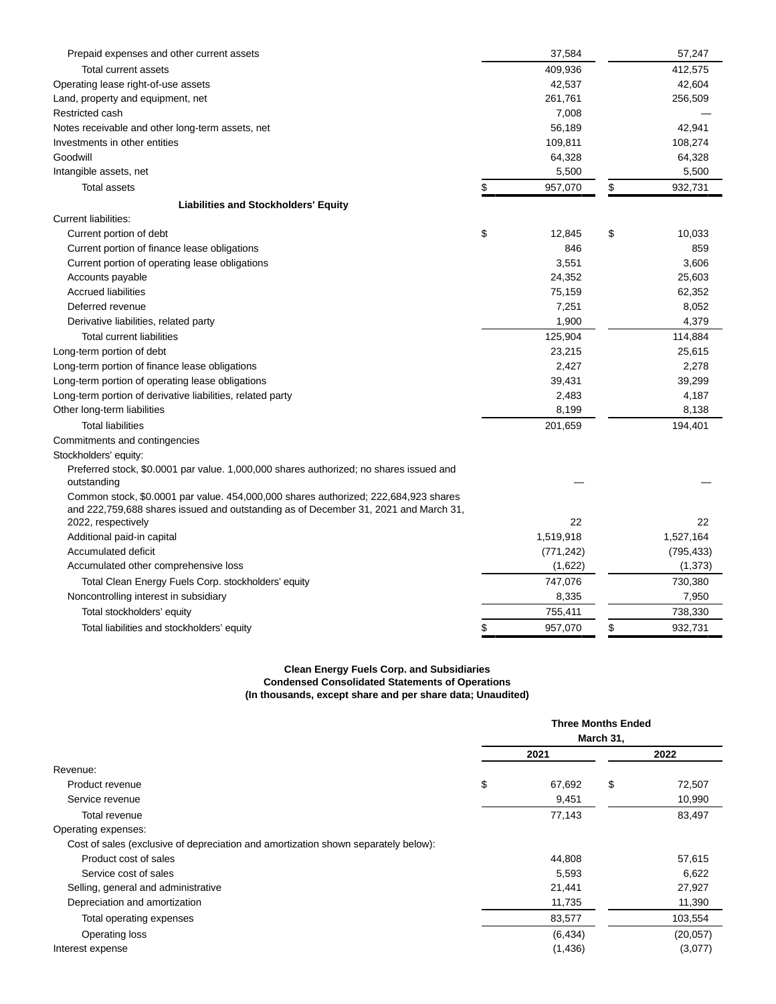| Prepaid expenses and other current assets                                                                                                                                  | 37,584        | 57,247        |
|----------------------------------------------------------------------------------------------------------------------------------------------------------------------------|---------------|---------------|
| Total current assets                                                                                                                                                       | 409,936       | 412,575       |
| Operating lease right-of-use assets                                                                                                                                        | 42,537        | 42,604        |
| Land, property and equipment, net                                                                                                                                          | 261,761       | 256,509       |
| Restricted cash                                                                                                                                                            | 7,008         |               |
| Notes receivable and other long-term assets, net                                                                                                                           | 56,189        | 42,941        |
| Investments in other entities                                                                                                                                              | 109,811       | 108,274       |
| Goodwill                                                                                                                                                                   | 64,328        | 64,328        |
| Intangible assets, net                                                                                                                                                     | 5,500         | 5,500         |
| <b>Total assets</b>                                                                                                                                                        | \$<br>957,070 | \$<br>932,731 |
| <b>Liabilities and Stockholders' Equity</b>                                                                                                                                |               |               |
| <b>Current liabilities:</b>                                                                                                                                                |               |               |
| Current portion of debt                                                                                                                                                    | \$<br>12,845  | \$<br>10,033  |
| Current portion of finance lease obligations                                                                                                                               | 846           | 859           |
| Current portion of operating lease obligations                                                                                                                             | 3,551         | 3,606         |
| Accounts payable                                                                                                                                                           | 24,352        | 25,603        |
| <b>Accrued liabilities</b>                                                                                                                                                 | 75,159        | 62,352        |
| Deferred revenue                                                                                                                                                           | 7,251         | 8,052         |
| Derivative liabilities, related party                                                                                                                                      | 1,900         | 4,379         |
| Total current liabilities                                                                                                                                                  | 125,904       | 114,884       |
| Long-term portion of debt                                                                                                                                                  | 23,215        | 25,615        |
| Long-term portion of finance lease obligations                                                                                                                             | 2,427         | 2,278         |
| Long-term portion of operating lease obligations                                                                                                                           | 39,431        | 39,299        |
| Long-term portion of derivative liabilities, related party                                                                                                                 | 2,483         | 4,187         |
| Other long-term liabilities                                                                                                                                                | 8,199         | 8,138         |
| <b>Total liabilities</b>                                                                                                                                                   | 201,659       | 194,401       |
| Commitments and contingencies                                                                                                                                              |               |               |
| Stockholders' equity:                                                                                                                                                      |               |               |
| Preferred stock, \$0.0001 par value. 1,000,000 shares authorized; no shares issued and<br>outstanding                                                                      |               |               |
| Common stock, \$0.0001 par value. 454,000,000 shares authorized; 222,684,923 shares<br>and 222,759,688 shares issued and outstanding as of December 31, 2021 and March 31, |               |               |
| 2022, respectively                                                                                                                                                         | 22            | 22            |
| Additional paid-in capital                                                                                                                                                 | 1,519,918     | 1,527,164     |
| Accumulated deficit                                                                                                                                                        | (771, 242)    | (795, 433)    |
| Accumulated other comprehensive loss                                                                                                                                       | (1,622)       | (1, 373)      |
| Total Clean Energy Fuels Corp. stockholders' equity                                                                                                                        | 747,076       | 730,380       |
| Noncontrolling interest in subsidiary                                                                                                                                      | 8,335         | 7,950         |
| Total stockholders' equity                                                                                                                                                 | 755,411       | 738,330       |
| Total liabilities and stockholders' equity                                                                                                                                 | \$<br>957,070 | \$<br>932.731 |

#### **Clean Energy Fuels Corp. and Subsidiaries Condensed Consolidated Statements of Operations (In thousands, except share and per share data; Unaudited)**

|                                                                                    | <b>Three Months Ended</b><br>March 31, |          |    |          |
|------------------------------------------------------------------------------------|----------------------------------------|----------|----|----------|
|                                                                                    |                                        | 2021     |    | 2022     |
| Revenue:                                                                           |                                        |          |    |          |
| Product revenue                                                                    | \$                                     | 67,692   | \$ | 72,507   |
| Service revenue                                                                    |                                        | 9,451    |    | 10,990   |
| Total revenue                                                                      |                                        | 77,143   |    | 83,497   |
| Operating expenses:                                                                |                                        |          |    |          |
| Cost of sales (exclusive of depreciation and amortization shown separately below): |                                        |          |    |          |
| Product cost of sales                                                              |                                        | 44,808   |    | 57,615   |
| Service cost of sales                                                              |                                        | 5,593    |    | 6,622    |
| Selling, general and administrative                                                |                                        | 21,441   |    | 27,927   |
| Depreciation and amortization                                                      |                                        | 11,735   |    | 11,390   |
| Total operating expenses                                                           |                                        | 83,577   |    | 103,554  |
| Operating loss                                                                     |                                        | (6, 434) |    | (20,057) |
| Interest expense                                                                   |                                        | (1,436)  |    | (3,077)  |